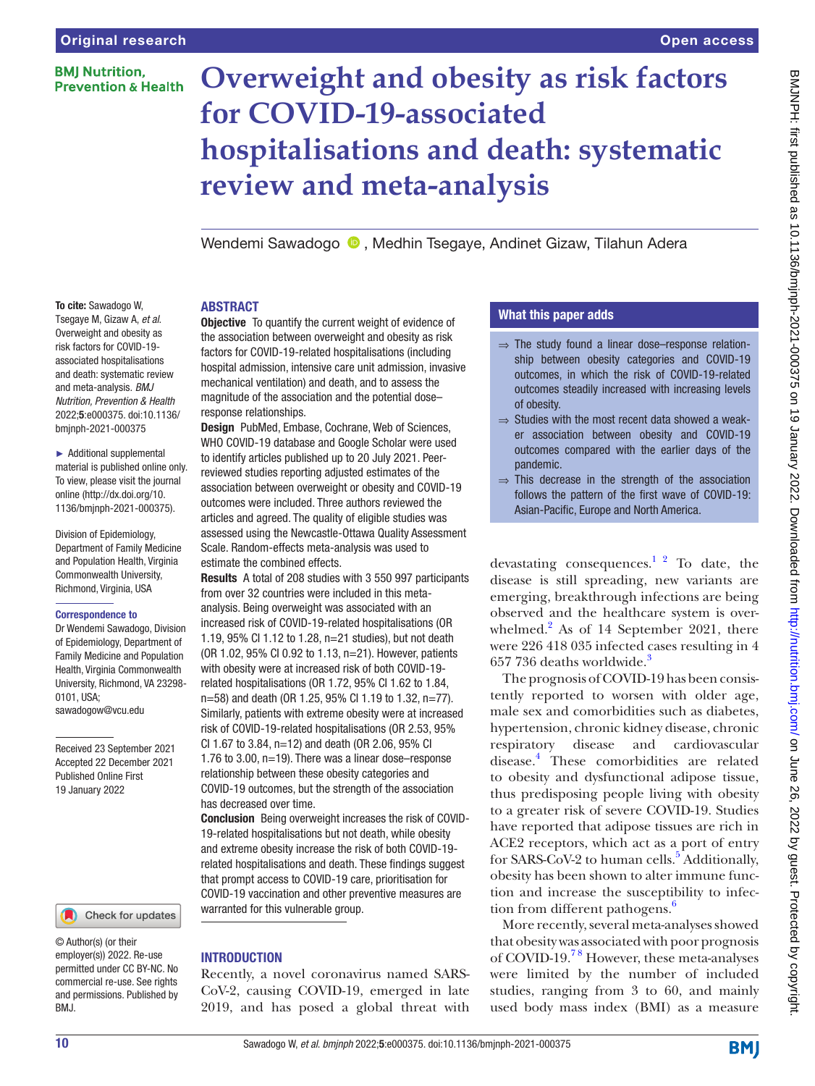# **BMI Nutrition. Prevention & Health**

To cite: Sawadogo W, Tsegaye M, Gizaw A, *et al*. Overweight and obesity as risk factors for COVID-19 associated hospitalisations

and meta-analysis. *BMJ* 

bmjnph-2021-000375 ► Additional supplemental material is published online only. To view, please visit the journal online [\(http://dx.doi.org/10.](http://dx.doi.org/10.1136/bmjnph-2021-000375) [1136/bmjnph-2021-000375](http://dx.doi.org/10.1136/bmjnph-2021-000375)).

Division of Epidemiology, Department of Family Medicine and Population Health, Virginia Commonwealth University, Richmond, Virginia, USA Correspondence to

Dr Wendemi Sawadogo, Division of Epidemiology, Department of Family Medicine and Population Health, Virginia Commonwealth University, Richmond, VA 23298-

Received 23 September 2021 Accepted 22 December 2021 Published Online First 19 January 2022

0101, USA; sawadogow@vcu.edu

# **Overweight and obesity as risk factors for COVID-19-associated hospitalisations and death: systematic review and meta-analysis**

Wendemi Sawadogo <sup>®</sup>. Medhin Tsegaye, Andinet Gizaw, Tilahun Adera

## ABSTRACT

and death: systematic review *Nutrition, Prevention & Health* 2022;5:e000375. doi:10.1136/ **Objective** To quantify the current weight of evidence of the association between overweight and obesity as risk factors for COVID-19-related hospitalisations (including hospital admission, intensive care unit admission, invasive mechanical ventilation) and death, and to assess the magnitude of the association and the potential dose– response relationships.

**Design** PubMed, Embase, Cochrane, Web of Sciences, WHO COVID-19 database and Google Scholar were used to identify articles published up to 20 July 2021. Peerreviewed studies reporting adjusted estimates of the association between overweight or obesity and COVID-19 outcomes were included. Three authors reviewed the articles and agreed. The quality of eligible studies was assessed using the Newcastle-Ottawa Quality Assessment Scale. Random-effects meta-analysis was used to estimate the combined effects.

Results A total of 208 studies with 3 550 997 participants from over 32 countries were included in this metaanalysis. Being overweight was associated with an increased risk of COVID-19-related hospitalisations (OR 1.19, 95% CI 1.12 to 1.28, n=21 studies), but not death (OR 1.02, 95% CI 0.92 to 1.13, n=21). However, patients with obesity were at increased risk of both COVID-19 related hospitalisations (OR 1.72, 95% CI 1.62 to 1.84, n=58) and death (OR 1.25, 95% CI 1.19 to 1.32, n=77). Similarly, patients with extreme obesity were at increased risk of COVID-19-related hospitalisations (OR 2.53, 95% CI 1.67 to 3.84, n=12) and death (OR 2.06, 95% CI 1.76 to 3.00, n=19). There was a linear dose–response relationship between these obesity categories and COVID-19 outcomes, but the strength of the association has decreased over time.

Conclusion Being overweight increases the risk of COVID-19-related hospitalisations but not death, while obesity and extreme obesity increase the risk of both COVID-19 related hospitalisations and death. These findings suggest that prompt access to COVID-19 care, prioritisation for COVID-19 vaccination and other preventive measures are warranted for this vulnerable group.

## **INTRODUCTION**

Recently, a novel coronavirus named SARS-CoV-2, causing COVID-19, emerged in late 2019, and has posed a global threat with

# What this paper adds

- $\Rightarrow$  The study found a linear dose–response relationship between obesity categories and COVID-19 outcomes, in which the risk of COVID-19-related outcomes steadily increased with increasing levels of obesity.
- $\Rightarrow$  Studies with the most recent data showed a weaker association between obesity and COVID-19 outcomes compared with the earlier days of the pandemic.
- $\Rightarrow$  This decrease in the strength of the association follows the pattern of the first wave of COVID-19: Asian-Pacific, Europe and North America.

devastating consequences.<sup>1 2</sup> To date, the disease is still spreading, new variants are emerging, breakthrough infections are being observed and the healthcare system is over-whelmed.<sup>[2](#page-8-1)</sup> As of 14 September 2021, there were 226 418 035 infected cases resulting in 4 657 7[3](#page-8-2)6 deaths worldwide.<sup>3</sup>

The prognosis of COVID-19 has been consistently reported to worsen with older age, male sex and comorbidities such as diabetes, hypertension, chronic kidney disease, chronic respiratory disease and cardiovascular disease.[4](#page-8-3) These comorbidities are related to obesity and dysfunctional adipose tissue, thus predisposing people living with obesity to a greater risk of severe COVID-19. Studies have reported that adipose tissues are rich in ACE2 receptors, which act as a port of entry for SARS-CoV-2 to human cells.<sup>[5](#page-8-4)</sup> Additionally, obesity has been shown to alter immune function and increase the susceptibility to infection from different pathogens.<sup>6</sup>

More recently, several meta-analyses showed that obesity was associated with poor prognosis of COVID-19[.7 8](#page-8-6) However, these meta-analyses were limited by the number of included studies, ranging from 3 to 60, and mainly used body mass index (BMI) as a measure

BMJ.

© Author(s) (or their employer(s)) 2022. Re-use permitted under CC BY-NC. No commercial re-use. See rights and permissions. Published by

Check for updates

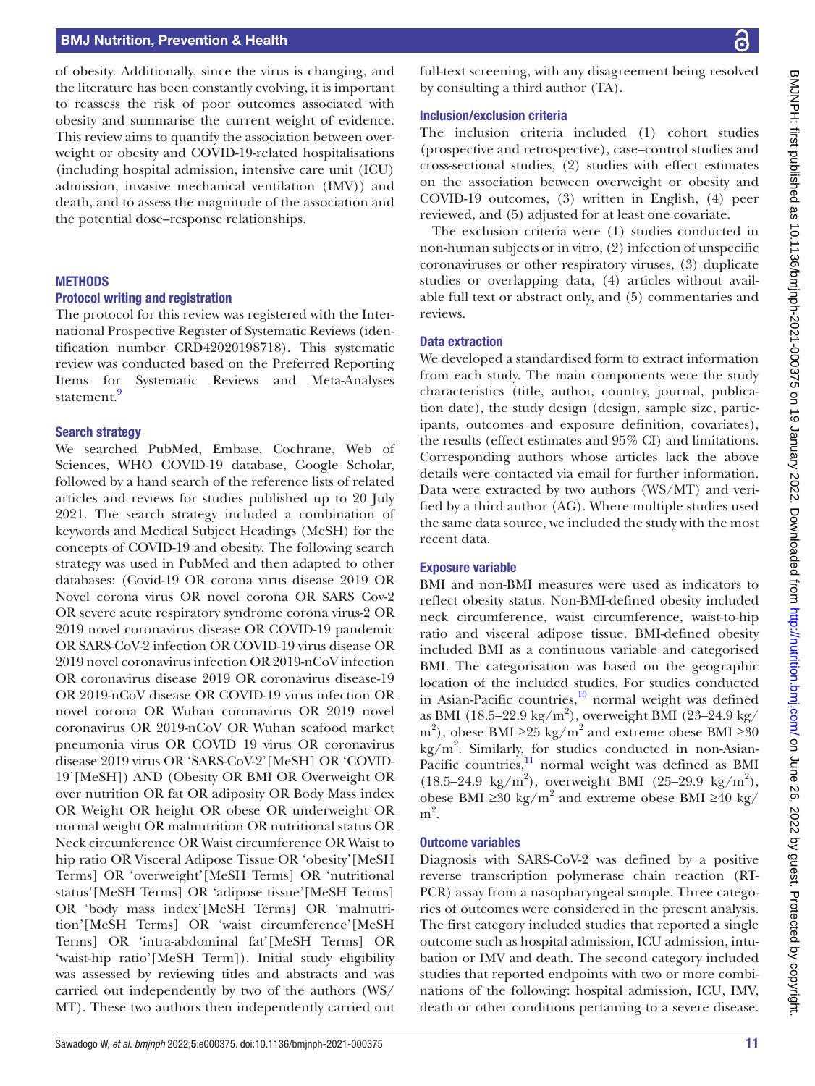## BMJ Nutrition, Prevention & Health

of obesity. Additionally, since the virus is changing, and the literature has been constantly evolving, it is important to reassess the risk of poor outcomes associated with obesity and summarise the current weight of evidence. This review aims to quantify the association between overweight or obesity and COVID-19-related hospitalisations (including hospital admission, intensive care unit (ICU) admission, invasive mechanical ventilation (IMV)) and death, and to assess the magnitude of the association and the potential dose–response relationships.

#### **METHODS**

#### Protocol writing and registration

The protocol for this review was registered with the International Prospective Register of Systematic Reviews (identification number CRD42020198718). This systematic review was conducted based on the Preferred Reporting Items for Systematic Reviews and Meta-Analyses statement.<sup>[9](#page-8-7)</sup>

#### Search strategy

We searched PubMed, Embase, Cochrane, Web of Sciences, WHO COVID-19 database, Google Scholar, followed by a hand search of the reference lists of related articles and reviews for studies published up to 20 July 2021. The search strategy included a combination of keywords and Medical Subject Headings (MeSH) for the concepts of COVID-19 and obesity. The following search strategy was used in PubMed and then adapted to other databases: (Covid-19 OR corona virus disease 2019 OR Novel corona virus OR novel corona OR SARS Cov-2 OR severe acute respiratory syndrome corona virus-2 OR 2019 novel coronavirus disease OR COVID-19 pandemic OR SARS-CoV-2 infection OR COVID-19 virus disease OR 2019 novel coronavirus infection OR 2019-nCoV infection OR coronavirus disease 2019 OR coronavirus disease-19 OR 2019-nCoV disease OR COVID-19 virus infection OR novel corona OR Wuhan coronavirus OR 2019 novel coronavirus OR 2019-nCoV OR Wuhan seafood market pneumonia virus OR COVID 19 virus OR coronavirus disease 2019 virus OR 'SARS-CoV-2'[MeSH] OR 'COVID-19'[MeSH]) AND (Obesity OR BMI OR Overweight OR over nutrition OR fat OR adiposity OR Body Mass index OR Weight OR height OR obese OR underweight OR normal weight OR malnutrition OR nutritional status OR Neck circumference OR Waist circumference OR Waist to hip ratio OR Visceral Adipose Tissue OR 'obesity'[MeSH Terms] OR 'overweight'[MeSH Terms] OR 'nutritional status'[MeSH Terms] OR 'adipose tissue'[MeSH Terms] OR 'body mass index'[MeSH Terms] OR 'malnutrition'[MeSH Terms] OR 'waist circumference'[MeSH Terms] OR 'intra-abdominal fat'[MeSH Terms] OR 'waist-hip ratio'[MeSH Term]). Initial study eligibility was assessed by reviewing titles and abstracts and was carried out independently by two of the authors (WS/ MT). These two authors then independently carried out

full-text screening, with any disagreement being resolved by consulting a third author (TA).

#### Inclusion/exclusion criteria

The inclusion criteria included (1) cohort studies (prospective and retrospective), case–control studies and cross-sectional studies, (2) studies with effect estimates on the association between overweight or obesity and COVID-19 outcomes, (3) written in English, (4) peer reviewed, and (5) adjusted for at least one covariate.

The exclusion criteria were (1) studies conducted in non-human subjects or in vitro, (2) infection of unspecific coronaviruses or other respiratory viruses, (3) duplicate studies or overlapping data, (4) articles without available full text or abstract only, and (5) commentaries and reviews.

#### Data extraction

We developed a standardised form to extract information from each study. The main components were the study characteristics (title, author, country, journal, publication date), the study design (design, sample size, participants, outcomes and exposure definition, covariates), the results (effect estimates and 95% CI) and limitations. Corresponding authors whose articles lack the above details were contacted via email for further information. Data were extracted by two authors (WS/MT) and verified by a third author (AG). Where multiple studies used the same data source, we included the study with the most recent data.

#### Exposure variable

BMI and non-BMI measures were used as indicators to reflect obesity status. Non-BMI-defined obesity included neck circumference, waist circumference, waist-to-hip ratio and visceral adipose tissue. BMI-defined obesity included BMI as a continuous variable and categorised BMI. The categorisation was based on the geographic location of the included studies. For studies conducted in Asian-Pacific countries, $^{10}$  $^{10}$  $^{10}$  normal weight was defined as BMI (18.5–22.9 kg/m<sup>2</sup>), overweight BMI (23–24.9 kg/ m<sup>2</sup>), obese BMI ≥25 kg/m<sup>2</sup> and extreme obese BMI ≥30 kg/m<sup>2</sup> . Similarly, for studies conducted in non-Asian-Pacific countries, $\frac{11}{11}$  $\frac{11}{11}$  $\frac{11}{11}$  normal weight was defined as BMI  $(18.5-24.9 \text{ kg/m}^2)$ , overweight BMI  $(25-29.9 \text{ kg/m}^2)$ , obese BMI ≥30 kg/m<sup>2</sup> and extreme obese BMI ≥40 kg/  $m<sup>2</sup>$ .

#### Outcome variables

Diagnosis with SARS-CoV-2 was defined by a positive reverse transcription polymerase chain reaction (RT-PCR) assay from a nasopharyngeal sample. Three categories of outcomes were considered in the present analysis. The first category included studies that reported a single outcome such as hospital admission, ICU admission, intubation or IMV and death. The second category included studies that reported endpoints with two or more combinations of the following: hospital admission, ICU, IMV, death or other conditions pertaining to a severe disease.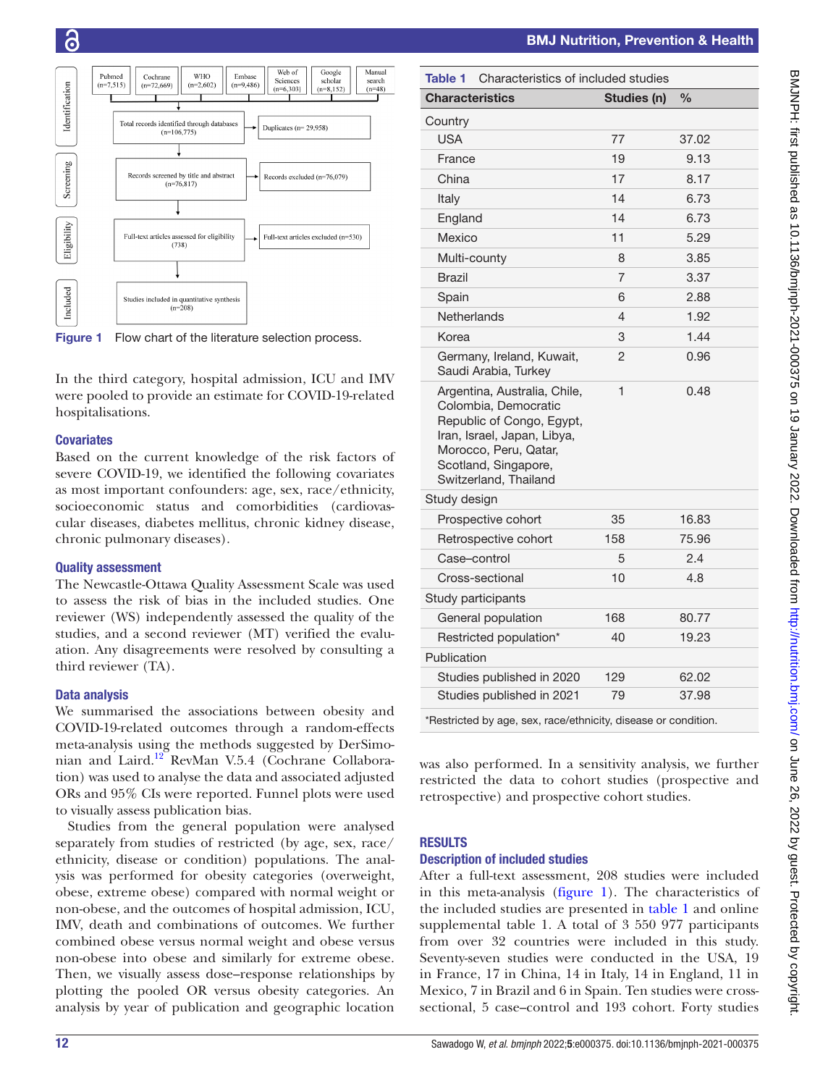

<span id="page-2-0"></span>Figure 1 Flow chart of the literature selection process.

In the third category, hospital admission, ICU and IMV were pooled to provide an estimate for COVID-19-related hospitalisations.

## **Covariates**

Based on the current knowledge of the risk factors of severe COVID-19, we identified the following covariates as most important confounders: age, sex, race/ethnicity, socioeconomic status and comorbidities (cardiovascular diseases, diabetes mellitus, chronic kidney disease, chronic pulmonary diseases).

## Quality assessment

The Newcastle-Ottawa Quality Assessment Scale was used to assess the risk of bias in the included studies. One reviewer (WS) independently assessed the quality of the studies, and a second reviewer (MT) verified the evaluation. Any disagreements were resolved by consulting a third reviewer (TA).

## Data analysis

We summarised the associations between obesity and COVID-19-related outcomes through a random-effects meta-analysis using the methods suggested by DerSimonian and Laird.[12](#page-8-10) RevMan V.5.4 (Cochrane Collaboration) was used to analyse the data and associated adjusted ORs and 95% CIs were reported. Funnel plots were used to visually assess publication bias.

Studies from the general population were analysed separately from studies of restricted (by age, sex, race/ ethnicity, disease or condition) populations. The analysis was performed for obesity categories (overweight, obese, extreme obese) compared with normal weight or non-obese, and the outcomes of hospital admission, ICU, IMV, death and combinations of outcomes. We further combined obese versus normal weight and obese versus non-obese into obese and similarly for extreme obese. Then, we visually assess dose–response relationships by plotting the pooled OR versus obesity categories. An analysis by year of publication and geographic location

<span id="page-2-1"></span>

| Characteristics of included studies<br>Table 1                                                                                                                                             |             |               |  |  |  |  |
|--------------------------------------------------------------------------------------------------------------------------------------------------------------------------------------------|-------------|---------------|--|--|--|--|
| <b>Characteristics</b>                                                                                                                                                                     | Studies (n) | $\frac{0}{0}$ |  |  |  |  |
| Country                                                                                                                                                                                    |             |               |  |  |  |  |
| <b>USA</b>                                                                                                                                                                                 | 77          | 37.02         |  |  |  |  |
| France                                                                                                                                                                                     | 19          | 9.13          |  |  |  |  |
| China                                                                                                                                                                                      | 17          | 8.17          |  |  |  |  |
| Italy                                                                                                                                                                                      | 14          | 6.73          |  |  |  |  |
| England                                                                                                                                                                                    | 14          | 6.73          |  |  |  |  |
| Mexico                                                                                                                                                                                     | 11          | 5.29          |  |  |  |  |
| Multi-county                                                                                                                                                                               | 8           | 3.85          |  |  |  |  |
| <b>Brazil</b>                                                                                                                                                                              | 7           | 3.37          |  |  |  |  |
| Spain                                                                                                                                                                                      | 6           | 2.88          |  |  |  |  |
| Netherlands                                                                                                                                                                                | 4           | 1.92          |  |  |  |  |
| Korea                                                                                                                                                                                      | 3           | 1.44          |  |  |  |  |
| Germany, Ireland, Kuwait,<br>Saudi Arabia, Turkey                                                                                                                                          | 2           | 0.96          |  |  |  |  |
| Argentina, Australia, Chile,<br>Colombia, Democratic<br>Republic of Congo, Egypt,<br>Iran, Israel, Japan, Libya,<br>Morocco, Peru, Qatar,<br>Scotland, Singapore,<br>Switzerland, Thailand | 1           | 0.48          |  |  |  |  |
| Study design                                                                                                                                                                               |             |               |  |  |  |  |
| Prospective cohort                                                                                                                                                                         | 35          | 16.83         |  |  |  |  |
| Retrospective cohort                                                                                                                                                                       | 158         | 75.96         |  |  |  |  |
| Case–control                                                                                                                                                                               | 5           | 2.4           |  |  |  |  |
| Cross-sectional                                                                                                                                                                            | 10          | 4.8           |  |  |  |  |
| Study participants                                                                                                                                                                         |             |               |  |  |  |  |
| General population                                                                                                                                                                         | 168         | 80.77         |  |  |  |  |
| Restricted population*                                                                                                                                                                     | 40          | 19.23         |  |  |  |  |
| Publication                                                                                                                                                                                |             |               |  |  |  |  |
| Studies published in 2020                                                                                                                                                                  | 129         | 62.02         |  |  |  |  |
| Studies published in 2021                                                                                                                                                                  | 79          | 37.98         |  |  |  |  |
|                                                                                                                                                                                            |             |               |  |  |  |  |

BMJ Nutrition, Prevention & Health

\*Restricted by age, sex, race/ethnicity, disease or condition.

was also performed. In a sensitivity analysis, we further restricted the data to cohort studies (prospective and retrospective) and prospective cohort studies.

# **RESULTS**

## Description of included studies

After a full-text assessment, 208 studies were included in this meta-analysis ([figure](#page-2-0) 1). The characteristics of the included studies are presented in [table](#page-2-1) 1 and [online](https://dx.doi.org/10.1136/bmjnph-2021-000375)  [supplemental table 1.](https://dx.doi.org/10.1136/bmjnph-2021-000375) A total of 3 550 977 participants from over 32 countries were included in this study. Seventy-seven studies were conducted in the USA, 19 in France, 17 in China, 14 in Italy, 14 in England, 11 in Mexico, 7 in Brazil and 6 in Spain. Ten studies were crosssectional, 5 case–control and 193 cohort. Forty studies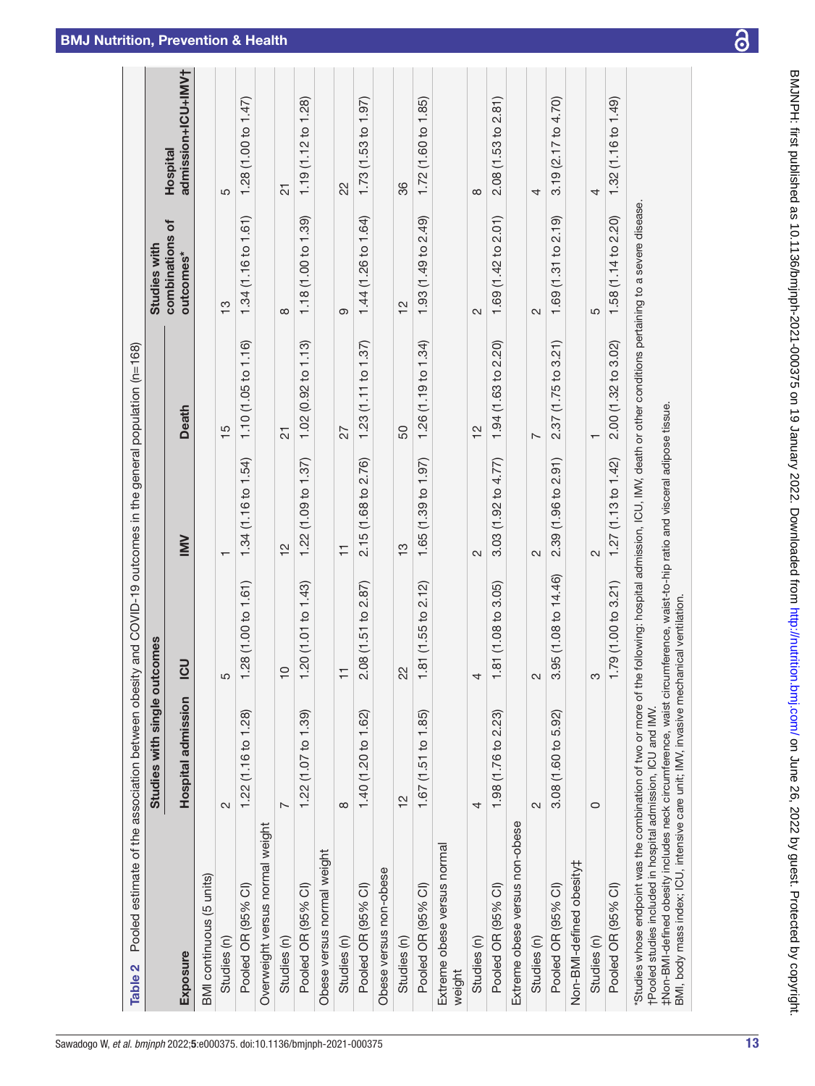| Pooled estimate of the association between obesity and COVID-19 outcomes in the general population (n=168)<br>Table 2                                                                                                                                                                                                                                                                                                                                     |                              |                      |                                   |                                   |                              |                                       |
|-----------------------------------------------------------------------------------------------------------------------------------------------------------------------------------------------------------------------------------------------------------------------------------------------------------------------------------------------------------------------------------------------------------------------------------------------------------|------------------------------|----------------------|-----------------------------------|-----------------------------------|------------------------------|---------------------------------------|
|                                                                                                                                                                                                                                                                                                                                                                                                                                                           | Studies with single outcomes |                      |                                   |                                   | Studies with                 |                                       |
| <b>Exposure</b>                                                                                                                                                                                                                                                                                                                                                                                                                                           | Hospital admission           | <u>50</u>            | <b>NNI</b>                        | <b>Death</b>                      | combinations of<br>outcomes* | admission+ICU+IMV†<br><b>Hospital</b> |
| BMI continuous (5 units)                                                                                                                                                                                                                                                                                                                                                                                                                                  |                              |                      |                                   |                                   |                              |                                       |
| Studies (n)                                                                                                                                                                                                                                                                                                                                                                                                                                               | $\sim$                       |                      | $\mathbf$                         | $\frac{5}{1}$                     | $\frac{3}{5}$                | LO                                    |
| Pooled OR (95% CI)                                                                                                                                                                                                                                                                                                                                                                                                                                        | 1.22 (1.16 to 1.28)          | 1.28 (1.00 to 1.61)  | 1.34 (1.16 to 1.54)               | 1.10 (1.05 to 1.16)               | 1.34(1.16 to 1.61)           | 1.28 (1.00 to 1.47)                   |
| Overweight versus normal weight                                                                                                                                                                                                                                                                                                                                                                                                                           |                              |                      |                                   |                                   |                              |                                       |
| Studies (n)                                                                                                                                                                                                                                                                                                                                                                                                                                               | $\overline{ }$               | $\overline{C}$       | $\frac{2}{3}$                     | $\overline{2}$                    | $\infty$                     | $\overline{c}$                        |
| Pooled OR (95% CI)                                                                                                                                                                                                                                                                                                                                                                                                                                        | 1.22 (1.07 to 1.39)          | 1.20 (1.01 to 1.43)  | 1.22 (1.09 to 1.37)               | 1.02(0.92 to 1.13)                | 1.18 (1.00 to 1.39)          | 1.19 (1.12 to 1.28)                   |
| Obese versus normal weight                                                                                                                                                                                                                                                                                                                                                                                                                                |                              |                      |                                   |                                   |                              |                                       |
| Studies (n)                                                                                                                                                                                                                                                                                                                                                                                                                                               | $\infty$                     | Ξ                    | $\overline{\mathbf{r}}$           | 27                                | တ                            | 22                                    |
| Pooled OR (95% Cl)                                                                                                                                                                                                                                                                                                                                                                                                                                        | 1.40 (1.20 to 1.62)          | 2.08 (1.51 to 2.87)  | 2.15 (1.68 to 2.76)               | 1.23(1.11 to 1.37)                | 1.44 (1.26 to 1.64)          | 1.73(1.53 to 1.97)                    |
| Obese versus non-obese                                                                                                                                                                                                                                                                                                                                                                                                                                    |                              |                      |                                   |                                   |                              |                                       |
| Studies (n)                                                                                                                                                                                                                                                                                                                                                                                                                                               | $\frac{2}{3}$                | 22                   | $\frac{3}{2}$                     | 50                                | 얻                            | 36                                    |
| Pooled OR (95% Cl)                                                                                                                                                                                                                                                                                                                                                                                                                                        | 1.67 (1.51 to 1.85)          | 1.81 (1.55 to 2.12)  | 1.65 (1.39 to 1.97)               | 1.26(1.19 to 1.34)                | 1.93 (1.49 to 2.49)          | 1.72 (1.60 to 1.85)                   |
| Extreme obese versus normal<br>weight                                                                                                                                                                                                                                                                                                                                                                                                                     |                              |                      |                                   |                                   |                              |                                       |
| Studies (n)                                                                                                                                                                                                                                                                                                                                                                                                                                               | 4                            |                      | $\sim$                            | $\frac{2}{3}$                     | $\sim$                       | $\infty$                              |
| Pooled OR (95% CI)                                                                                                                                                                                                                                                                                                                                                                                                                                        | 1.98 (1.76 to 2.23)          | 1.81 (1.08 to 3.05)  | $(1.92 \text{ to } 4.77)$<br>3.03 | 1.94 (1.63 to 2.20)               | 2.01<br>$(1.42)$ to<br>1.69  | (1.53 to 2.81)<br>2.08                |
| Extreme obese versus non-obese                                                                                                                                                                                                                                                                                                                                                                                                                            |                              |                      |                                   |                                   |                              |                                       |
| Studies (n)                                                                                                                                                                                                                                                                                                                                                                                                                                               | $\sim$                       | $\sim$               | $\sim$                            | $\overline{ }$                    | $\sim$                       | 4                                     |
| Pooled OR (95% Cl)                                                                                                                                                                                                                                                                                                                                                                                                                                        | 3.08 (1.60 to 5.92)          | 3.95 (1.08 to 14.46) | 2.91)<br>2.39 (1.96 to            | $(1.75 \text{ to } 3.21)$<br>2.37 | 2.19<br>1.69(1.31 to         | $3.19(2.17)$ to $4.70$                |
| Non-BMI-defined obesity#                                                                                                                                                                                                                                                                                                                                                                                                                                  |                              |                      |                                   |                                   |                              |                                       |
| Studies (n)                                                                                                                                                                                                                                                                                                                                                                                                                                               | $\circ$                      |                      | 2                                 | ᠇                                 | 5                            | 4                                     |
| Pooled OR (95% Cl)                                                                                                                                                                                                                                                                                                                                                                                                                                        |                              | 1.79(1.00 to 3.21)   | 1.27(1.13 to 1.42)                | 2.00 (1.32 to 3.02)               | 1.58 (1.14 to 2.20)          | 1.32 (1.16 to 1.49)                   |
| Studies whose endpoint was the combination of two or more of the following: hospital admission, ICU, IMV, death or other conditions pertaining to a severe disease.<br>tNon-BMI-defined obesity includes neck circumference, waist circumference, waist-to-hip ratio and visceral adipose tissue.<br>BMI, body mass index; ICU, intensive care unit; IMV, invasive mechanical ventilation<br>†Pooled studies included in hospital admission, ICU and IMV. |                              |                      |                                   |                                   |                              |                                       |

<span id="page-3-0"></span>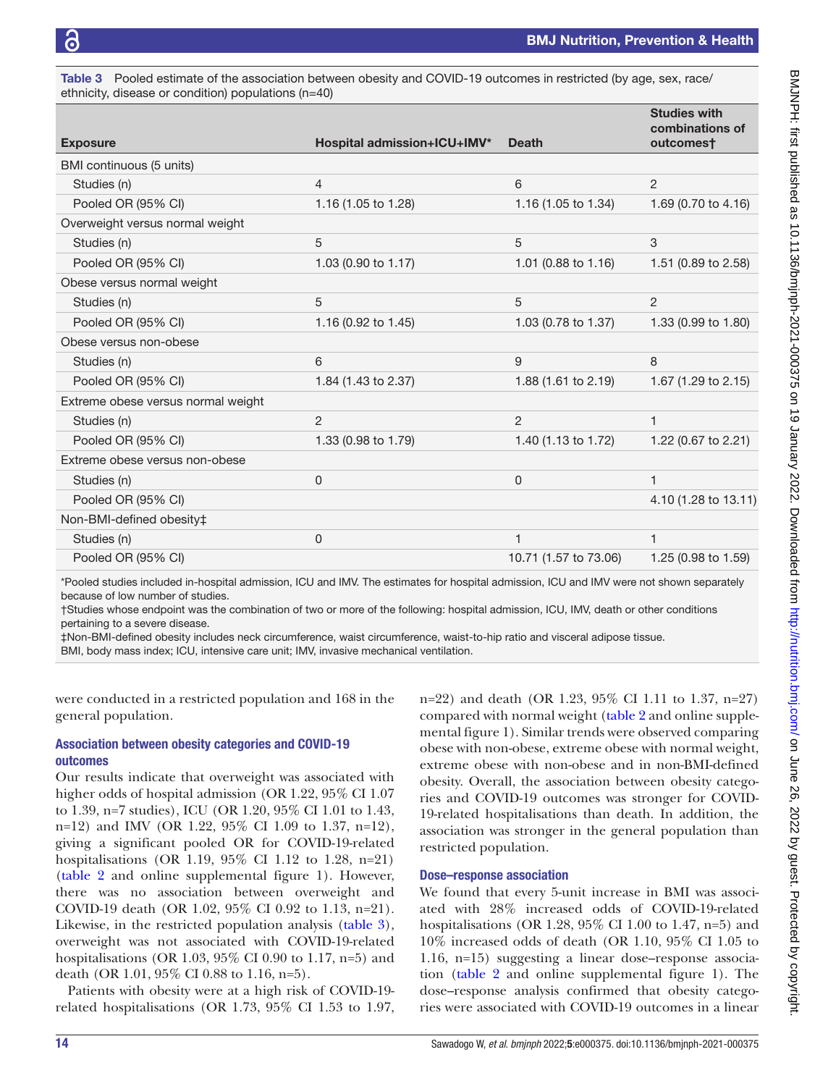<span id="page-4-0"></span>Table 3 Pooled estimate of the association between obesity and COVID-19 outcomes in restricted (by age, sex, race/ ethnicity, disease or condition) populations (n=40)

| <b>Exposure</b>                    | <b>Hospital admission+ICU+IMV*</b> | <b>Death</b>                   | <b>Studies with</b><br>combinations of<br>outcomes† |
|------------------------------------|------------------------------------|--------------------------------|-----------------------------------------------------|
| BMI continuous (5 units)           |                                    |                                |                                                     |
| Studies (n)                        | $\overline{4}$                     | 6                              | 2                                                   |
| Pooled OR (95% CI)                 | 1.16 (1.05 to 1.28)                | 1.16 (1.05 to 1.34)            | 1.69 (0.70 to 4.16)                                 |
| Overweight versus normal weight    |                                    |                                |                                                     |
| Studies (n)                        | 5                                  | 5                              | 3                                                   |
| Pooled OR (95% CI)                 | 1.03 (0.90 to 1.17)                | 1.01 $(0.88 \text{ to } 1.16)$ | 1.51 (0.89 to 2.58)                                 |
| Obese versus normal weight         |                                    |                                |                                                     |
| Studies (n)                        | 5                                  | 5                              | $\overline{2}$                                      |
| Pooled OR (95% CI)                 | 1.16 (0.92 to 1.45)                | 1.03 (0.78 to 1.37)            | 1.33 (0.99 to 1.80)                                 |
| Obese versus non-obese             |                                    |                                |                                                     |
| Studies (n)                        | 6                                  | 9                              | 8                                                   |
| Pooled OR (95% CI)                 | 1.84 (1.43 to 2.37)                | 1.88 (1.61 to 2.19)            | 1.67 (1.29 to 2.15)                                 |
| Extreme obese versus normal weight |                                    |                                |                                                     |
| Studies (n)                        | 2                                  | $\overline{2}$                 | $\overline{1}$                                      |
| Pooled OR (95% CI)                 | 1.33 (0.98 to 1.79)                | 1.40 (1.13 to 1.72)            | 1.22 (0.67 to 2.21)                                 |
| Extreme obese versus non-obese     |                                    |                                |                                                     |
| Studies (n)                        | 0                                  | $\Omega$                       | 1                                                   |
| Pooled OR (95% CI)                 |                                    |                                | 4.10 (1.28 to 13.11)                                |
| Non-BMI-defined obesity‡           |                                    |                                |                                                     |
| Studies (n)                        | 0                                  | 1                              | $\mathbf{1}$                                        |
| Pooled OR (95% CI)                 |                                    | 10.71 (1.57 to 73.06)          | 1.25 (0.98 to 1.59)                                 |

\*Pooled studies included in-hospital admission, ICU and IMV. The estimates for hospital admission, ICU and IMV were not shown separately because of low number of studies.

†Studies whose endpoint was the combination of two or more of the following: hospital admission, ICU, IMV, death or other conditions pertaining to a severe disease.

‡Non-BMI-defined obesity includes neck circumference, waist circumference, waist-to-hip ratio and visceral adipose tissue.

BMI, body mass index; ICU, intensive care unit; IMV, invasive mechanical ventilation.

were conducted in a restricted population and 168 in the general population.

## Association between obesity categories and COVID-19 outcomes

Our results indicate that overweight was associated with higher odds of hospital admission (OR 1.22, 95% CI 1.07 to 1.39, n=7 studies), ICU (OR 1.20, 95% CI 1.01 to 1.43, n=12) and IMV (OR 1.22, 95% CI 1.09 to 1.37, n=12), giving a significant pooled OR for COVID-19-related hospitalisations (OR 1.19, 95% CI 1.12 to 1.28, n=21) ([table](#page-3-0) 2 and [online supplemental figure 1](https://dx.doi.org/10.1136/bmjnph-2021-000375)). However, there was no association between overweight and COVID-19 death (OR 1.02, 95% CI 0.92 to 1.13, n=21). Likewise, in the restricted population analysis [\(table](#page-4-0) 3), overweight was not associated with COVID-19-related hospitalisations (OR 1.03, 95% CI 0.90 to 1.17, n=5) and death (OR 1.01, 95% CI 0.88 to 1.16, n=5).

Patients with obesity were at a high risk of COVID-19 related hospitalisations (OR 1.73, 95% CI 1.53 to 1.97,

n=22) and death (OR 1.23, 95% CI 1.11 to 1.37, n=27) compared with normal weight [\(table](#page-3-0) 2 and [online supple](https://dx.doi.org/10.1136/bmjnph-2021-000375)[mental figure 1](https://dx.doi.org/10.1136/bmjnph-2021-000375)). Similar trends were observed comparing obese with non-obese, extreme obese with normal weight, extreme obese with non-obese and in non-BMI-defined obesity. Overall, the association between obesity categories and COVID-19 outcomes was stronger for COVID-19-related hospitalisations than death. In addition, the association was stronger in the general population than restricted population.

## Dose–response association

We found that every 5-unit increase in BMI was associated with 28% increased odds of COVID-19-related hospitalisations (OR 1.28, 95% CI 1.00 to 1.47, n=5) and 10% increased odds of death (OR 1.10, 95% CI 1.05 to 1.16, n=15) suggesting a linear dose–response association ([table](#page-3-0) 2 and [online supplemental figure 1](https://dx.doi.org/10.1136/bmjnph-2021-000375)). The dose–response analysis confirmed that obesity categories were associated with COVID-19 outcomes in a linear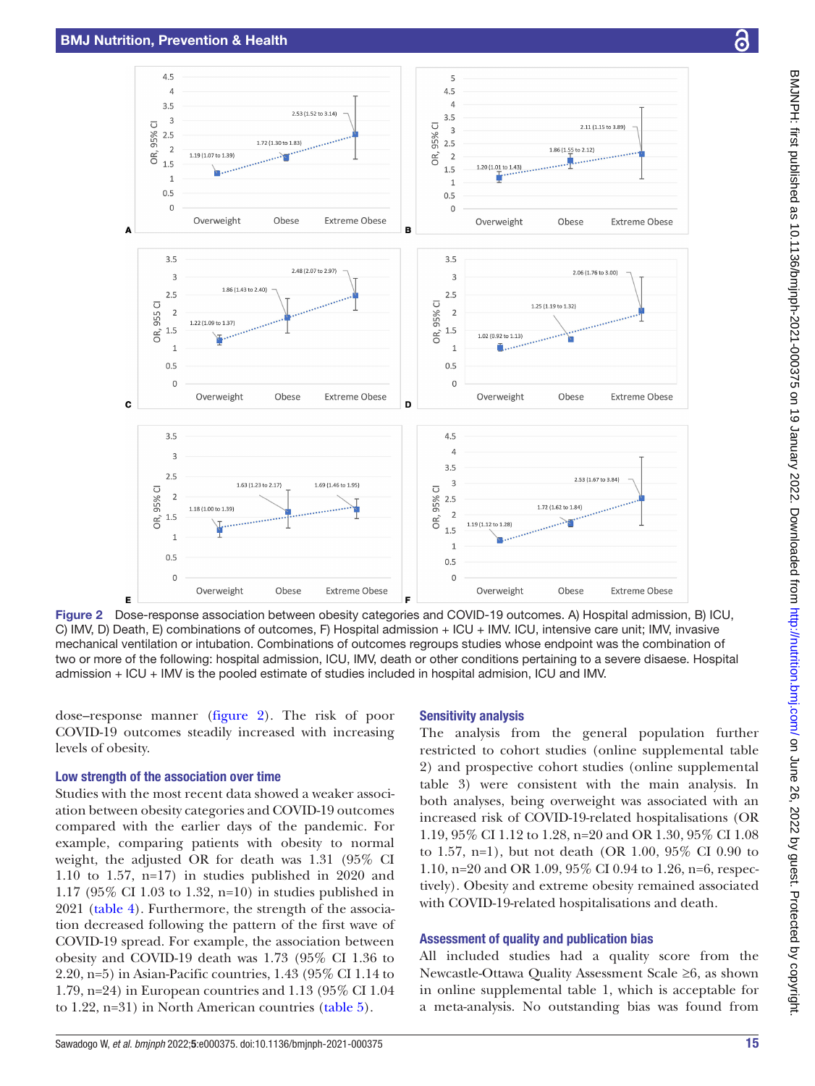$4.5$ 

 $\overline{a}$ 

 $3.5$ 

 $\overline{\mathbf{3}}$ 95% CI

 $2.5$ 

 $\overline{2}$ 

 $15$ 

 $\overline{1}$ 

 $0.5$ 

 $\overline{0}$ 

 $35$ 

 $\overline{a}$ 

 $2.5$ 

 $\overline{z}$ 

 $1.5$ 

 $\overline{1}$  $0.5$ 

 $\epsilon$ 

 $3.5$ 

 $2.5$ 

 $\overline{2}$ 

 $1.5$ 

 $\overline{1}$ 

 $0.5$ 

 $\epsilon$ 

**DR, 95% CI** 

З

**DR, 955 CI** 

c

1 19 (1 07 to 1 39)

Overweight

1.22 (1.09 to 1.37)

Overweight

1.18 (1.00 to 1.39)

<span id="page-5-0"></span>Overweight

1.86 (1.43 to 2.40

ΘŔ.

**Extreme Obese** 

**Extreme Obese** 

**Extreme Obese** 



Figure 2 Dose-response association between obesity categories and COVID-19 outcomes. A) Hospital admission, B) ICU, C) IMV, D) Death, E) combinations of outcomes, F) Hospital admission + ICU + IMV. ICU, intensive care unit; IMV, invasive mechanical ventilation or intubation. Combinations of outcomes regroups studies whose endpoint was the combination of two or more of the following: hospital admission, ICU, IMV, death or other conditions pertaining to a severe disaese. Hospital admission + ICU + IMV is the pooled estimate of studies included in hospital admision, ICU and IMV.

dose–response manner ([figure](#page-5-0) 2). The risk of poor COVID-19 outcomes steadily increased with increasing levels of obesity.

# Low strength of the association over time

Studies with the most recent data showed a weaker association between obesity categories and COVID-19 outcomes compared with the earlier days of the pandemic. For example, comparing patients with obesity to normal weight, the adjusted OR for death was 1.31 (95% CI 1.10 to 1.57, n=17) in studies published in 2020 and 1.17 (95% CI 1.03 to 1.32, n=10) in studies published in 2021 ([table](#page-6-0) 4). Furthermore, the strength of the association decreased following the pattern of the first wave of COVID-19 spread. For example, the association between obesity and COVID-19 death was 1.73 (95% CI 1.36 to 2.20, n=5) in Asian-Pacific countries, 1.43 (95% CI 1.14 to 1.79, n=24) in European countries and 1.13 (95% CI 1.04 to 1.22, n=31) in North American countries ([table](#page-7-0) 5).

#### Sensitivity analysis

The analysis from the general population further restricted to cohort studies [\(online supplemental table](https://dx.doi.org/10.1136/bmjnph-2021-000375)  [2](https://dx.doi.org/10.1136/bmjnph-2021-000375)) and prospective cohort studies ([online supplemental](https://dx.doi.org/10.1136/bmjnph-2021-000375)  [table 3](https://dx.doi.org/10.1136/bmjnph-2021-000375)) were consistent with the main analysis. In both analyses, being overweight was associated with an increased risk of COVID-19-related hospitalisations (OR 1.19, 95% CI 1.12 to 1.28, n=20 and OR 1.30, 95% CI 1.08 to 1.57, n=1), but not death (OR 1.00, 95% CI 0.90 to 1.10, n=20 and OR 1.09, 95% CI 0.94 to 1.26, n=6, respectively). Obesity and extreme obesity remained associated with COVID-19-related hospitalisations and death.

#### Assessment of quality and publication bias

All included studies had a quality score from the Newcastle-Ottawa Quality Assessment Scale ≥6, as shown in [online supplemental table 1](https://dx.doi.org/10.1136/bmjnph-2021-000375), which is acceptable for a meta-analysis. No outstanding bias was found from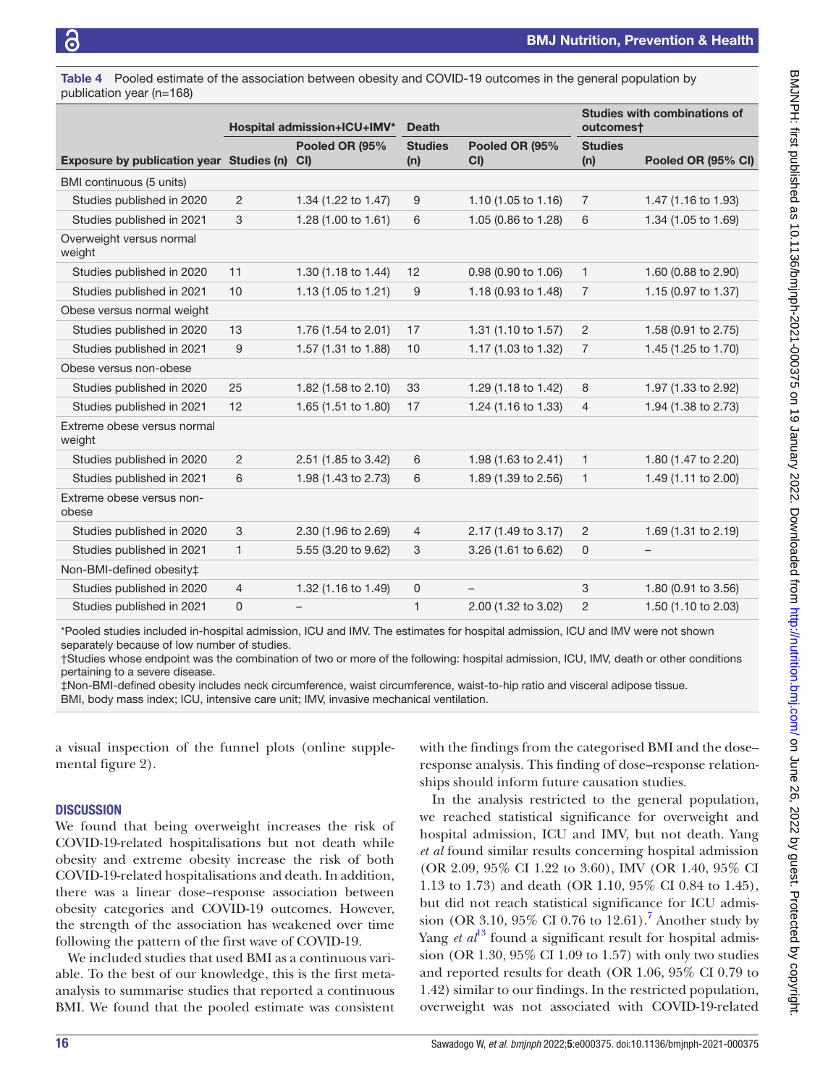<span id="page-6-0"></span>Table 4 Pooled estimate of the association between obesity and COVID-19 outcomes in the general population by publication year (n=168)

|                                          | <b>Hospital admission+ICU+IMV*</b><br><b>Death</b> |                      | <b>Studies with combinations of</b><br>outcomest |                          |                       |                     |
|------------------------------------------|----------------------------------------------------|----------------------|--------------------------------------------------|--------------------------|-----------------------|---------------------|
| Exposure by publication year Studies (n) |                                                    | Pooled OR (95%<br>CI | <b>Studies</b><br>(n)                            | Pooled OR (95%<br>CI     | <b>Studies</b><br>(n) | Pooled OR (95% CI)  |
| BMI continuous (5 units)                 |                                                    |                      |                                                  |                          |                       |                     |
| Studies published in 2020                | $\overline{c}$                                     | 1.34 (1.22 to 1.47)  | 9                                                | 1.10 (1.05 to 1.16)      | $\overline{7}$        | 1.47 (1.16 to 1.93) |
| Studies published in 2021                | 3                                                  | 1.28 (1.00 to 1.61)  | 6                                                | 1.05 (0.86 to 1.28)      | 6                     | 1.34 (1.05 to 1.69) |
| Overweight versus normal<br>weight       |                                                    |                      |                                                  |                          |                       |                     |
| Studies published in 2020                | 11                                                 | 1.30 (1.18 to 1.44)  | 12                                               | 0.98 (0.90 to 1.06)      | $\mathbf{1}$          | 1.60 (0.88 to 2.90) |
| Studies published in 2021                | 10                                                 | 1.13 (1.05 to 1.21)  | 9                                                | 1.18 (0.93 to 1.48)      | 7                     | 1.15 (0.97 to 1.37) |
| Obese versus normal weight               |                                                    |                      |                                                  |                          |                       |                     |
| Studies published in 2020                | 13                                                 | 1.76 (1.54 to 2.01)  | 17                                               | 1.31 (1.10 to 1.57)      | $\overline{2}$        | 1.58 (0.91 to 2.75) |
| Studies published in 2021                | 9                                                  | 1.57 (1.31 to 1.88)  | 10                                               | 1.17 (1.03 to 1.32)      | $\overline{7}$        | 1.45 (1.25 to 1.70) |
| Obese versus non-obese                   |                                                    |                      |                                                  |                          |                       |                     |
| Studies published in 2020                | 25                                                 | 1.82 (1.58 to 2.10)  | 33                                               | 1.29 (1.18 to 1.42)      | 8                     | 1.97 (1.33 to 2.92) |
| Studies published in 2021                | 12                                                 | 1.65 (1.51 to 1.80)  | 17                                               | 1.24 (1.16 to 1.33)      | $\overline{4}$        | 1.94 (1.38 to 2.73) |
| Extreme obese versus normal<br>weight    |                                                    |                      |                                                  |                          |                       |                     |
| Studies published in 2020                | $\overline{2}$                                     | 2.51 (1.85 to 3.42)  | 6                                                | 1.98 (1.63 to 2.41)      | $\mathbf{1}$          | 1.80 (1.47 to 2.20) |
| Studies published in 2021                | 6                                                  | 1.98 (1.43 to 2.73)  | 6                                                | 1.89 (1.39 to 2.56)      | $\mathbf{1}$          | 1.49 (1.11 to 2.00) |
| Extreme obese versus non-<br>obese       |                                                    |                      |                                                  |                          |                       |                     |
| Studies published in 2020                | 3                                                  | 2.30 (1.96 to 2.69)  | 4                                                | 2.17 (1.49 to 3.17)      | $\overline{2}$        | 1.69 (1.31 to 2.19) |
| Studies published in 2021                | $\mathbf{1}$                                       | 5.55 (3.20 to 9.62)  | 3                                                | 3.26 (1.61 to 6.62)      | $\mathbf 0$           | $\qquad \qquad -$   |
| Non-BMI-defined obesity‡                 |                                                    |                      |                                                  |                          |                       |                     |
| Studies published in 2020                | $\overline{4}$                                     | 1.32 (1.16 to 1.49)  | $\mathbf 0$                                      | $\overline{\phantom{0}}$ | 3                     | 1.80 (0.91 to 3.56) |
| Studies published in 2021                | 0                                                  |                      | $\mathbf{1}$                                     | 2.00 (1.32 to 3.02)      | $\overline{2}$        | 1.50 (1.10 to 2.03) |

\*Pooled studies included in-hospital admission, ICU and IMV. The estimates for hospital admission, ICU and IMV were not shown separately because of low number of studies.

†Studies whose endpoint was the combination of two or more of the following: hospital admission, ICU, IMV, death or other conditions pertaining to a severe disease.

‡Non-BMI-defined obesity includes neck circumference, waist circumference, waist-to-hip ratio and visceral adipose tissue. BMI, body mass index; ICU, intensive care unit; IMV, invasive mechanical ventilation.

a visual inspection of the funnel plots [\(online supple](https://dx.doi.org/10.1136/bmjnph-2021-000375)[mental figure 2](https://dx.doi.org/10.1136/bmjnph-2021-000375)).

## **DISCUSSION**

We found that being overweight increases the risk of COVID-19-related hospitalisations but not death while obesity and extreme obesity increase the risk of both COVID-19-related hospitalisations and death. In addition, there was a linear dose–response association between obesity categories and COVID-19 outcomes. However, the strength of the association has weakened over time following the pattern of the first wave of COVID-19.

We included studies that used BMI as a continuous variable. To the best of our knowledge, this is the first metaanalysis to summarise studies that reported a continuous BMI. We found that the pooled estimate was consistent

with the findings from the categorised BMI and the dose– response analysis. This finding of dose–response relationships should inform future causation studies.

In the analysis restricted to the general population, we reached statistical significance for overweight and hospital admission, ICU and IMV, but not death. Yang *et al* found similar results concerning hospital admission (OR 2.09, 95% CI 1.22 to 3.60), IMV (OR 1.40, 95% CI 1.13 to 1.73) and death (OR 1.10, 95% CI 0.84 to 1.45), but did not reach statistical significance for ICU admis-sion (OR 3.10, 95% CI 0.[7](#page-8-6)6 to  $12.61$ ).<sup>7</sup> Another study by Yang *et al*<sup>[13](#page-8-11)</sup> found a significant result for hospital admission (OR 1.30, 95% CI 1.09 to 1.57) with only two studies and reported results for death (OR 1.06, 95% CI 0.79 to 1.42) similar to our findings. In the restricted population, overweight was not associated with COVID-19-related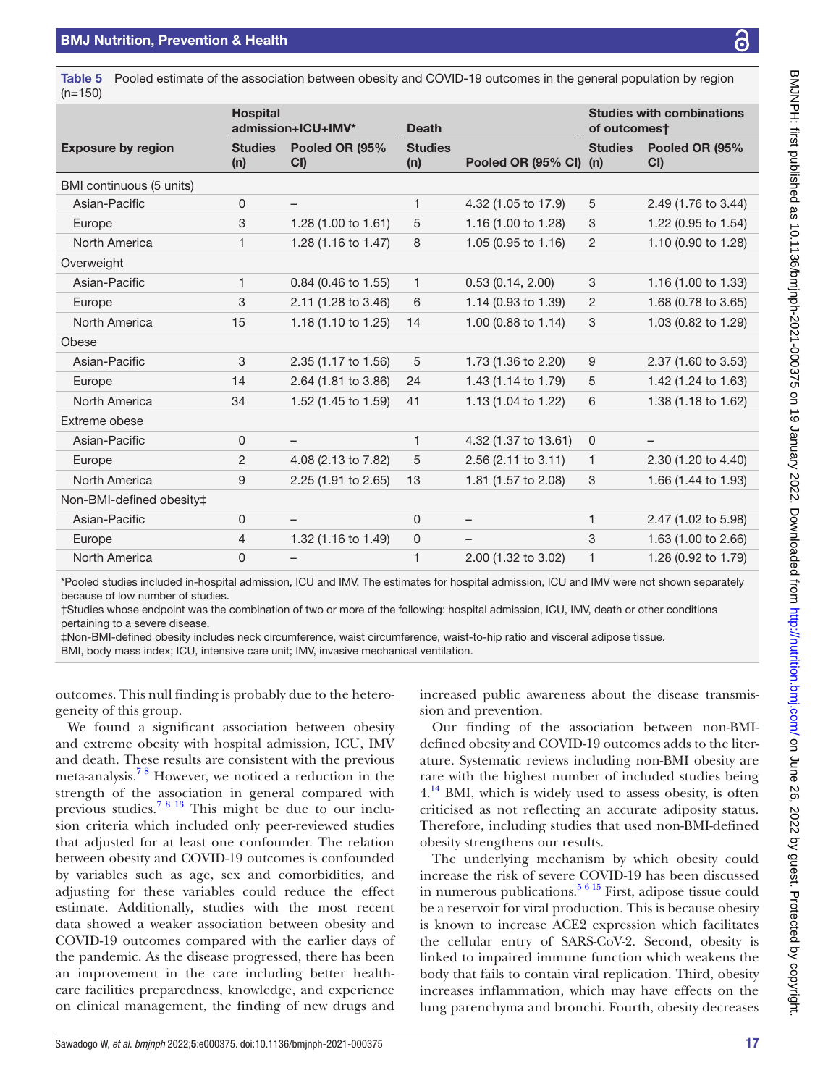<span id="page-7-0"></span>Table 5 Pooled estimate of the association between obesity and COVID-19 outcomes in the general population by region (n=150)

|                           | <b>Hospital</b><br>admission+ICU+IMV* |                       | <b>Death</b>          |                        | <b>Studies with combinations</b><br>of outcomest |                          |
|---------------------------|---------------------------------------|-----------------------|-----------------------|------------------------|--------------------------------------------------|--------------------------|
| <b>Exposure by region</b> | <b>Studies</b><br>(n)                 | Pooled OR (95%<br>CI) | <b>Studies</b><br>(n) | Pooled OR (95% CI) (n) | <b>Studies</b>                                   | Pooled OR (95%<br>CI     |
| BMI continuous (5 units)  |                                       |                       |                       |                        |                                                  |                          |
| Asian-Pacific             | 0                                     | -                     | 1                     | 4.32 (1.05 to 17.9)    | 5                                                | 2.49 (1.76 to 3.44)      |
| Europe                    | 3                                     | 1.28 (1.00 to 1.61)   | 5                     | 1.16 (1.00 to 1.28)    | 3                                                | 1.22 (0.95 to 1.54)      |
| North America             | 1                                     | 1.28 (1.16 to 1.47)   | 8                     | 1.05 (0.95 to 1.16)    | $\overline{2}$                                   | 1.10 (0.90 to 1.28)      |
| Overweight                |                                       |                       |                       |                        |                                                  |                          |
| Asian-Pacific             | 1                                     | 0.84 (0.46 to 1.55)   | 1                     | 0.53(0.14, 2.00)       | 3                                                | 1.16 (1.00 to 1.33)      |
| Europe                    | 3                                     | 2.11 (1.28 to 3.46)   | 6                     | 1.14 (0.93 to 1.39)    | $\overline{2}$                                   | 1.68 (0.78 to 3.65)      |
| North America             | 15                                    | 1.18 (1.10 to 1.25)   | 14                    | 1.00 (0.88 to 1.14)    | 3                                                | 1.03 (0.82 to 1.29)      |
| Obese                     |                                       |                       |                       |                        |                                                  |                          |
| Asian-Pacific             | 3                                     | 2.35 (1.17 to 1.56)   | 5                     | 1.73 (1.36 to 2.20)    | 9                                                | 2.37 (1.60 to 3.53)      |
| Europe                    | 14                                    | 2.64 (1.81 to 3.86)   | 24                    | 1.43 (1.14 to 1.79)    | 5                                                | 1.42 (1.24 to 1.63)      |
| North America             | 34                                    | 1.52 (1.45 to 1.59)   | 41                    | 1.13 (1.04 to 1.22)    | 6                                                | 1.38 (1.18 to 1.62)      |
| Extreme obese             |                                       |                       |                       |                        |                                                  |                          |
| Asian-Pacific             | $\mathbf 0$                           | $\qquad \qquad -$     | 1                     | 4.32 (1.37 to 13.61)   | 0                                                | $\overline{\phantom{0}}$ |
| Europe                    | 2                                     | 4.08 (2.13 to 7.82)   | 5                     | 2.56 (2.11 to 3.11)    | 1                                                | 2.30 (1.20 to 4.40)      |
| North America             | 9                                     | 2.25 (1.91 to 2.65)   | 13                    | 1.81 (1.57 to 2.08)    | 3                                                | 1.66 (1.44 to 1.93)      |
| Non-BMI-defined obesity‡  |                                       |                       |                       |                        |                                                  |                          |
| Asian-Pacific             | $\mathbf 0$                           |                       | 0                     |                        | $\mathbf{1}$                                     | 2.47 (1.02 to 5.98)      |
| Europe                    | 4                                     | 1.32 (1.16 to 1.49)   | 0                     |                        | 3                                                | 1.63 (1.00 to 2.66)      |
| North America             | 0                                     |                       | 1                     | 2.00 (1.32 to 3.02)    | 1                                                | 1.28 (0.92 to 1.79)      |

\*Pooled studies included in-hospital admission, ICU and IMV. The estimates for hospital admission, ICU and IMV were not shown separately because of low number of studies.

†Studies whose endpoint was the combination of two or more of the following: hospital admission, ICU, IMV, death or other conditions pertaining to a severe disease.

‡Non-BMI-defined obesity includes neck circumference, waist circumference, waist-to-hip ratio and visceral adipose tissue.

BMI, body mass index; ICU, intensive care unit; IMV, invasive mechanical ventilation.

outcomes. This null finding is probably due to the heterogeneity of this group.

We found a significant association between obesity and extreme obesity with hospital admission, ICU, IMV and death. These results are consistent with the previous meta-analysis.[7 8](#page-8-6) However, we noticed a reduction in the strength of the association in general compared with previous studies.[7 8 13](#page-8-6) This might be due to our inclusion criteria which included only peer-reviewed studies that adjusted for at least one confounder. The relation between obesity and COVID-19 outcomes is confounded by variables such as age, sex and comorbidities, and adjusting for these variables could reduce the effect estimate. Additionally, studies with the most recent data showed a weaker association between obesity and COVID-19 outcomes compared with the earlier days of the pandemic. As the disease progressed, there has been an improvement in the care including better healthcare facilities preparedness, knowledge, and experience on clinical management, the finding of new drugs and

increased public awareness about the disease transmission and prevention.

Our finding of the association between non-BMIdefined obesity and COVID-19 outcomes adds to the literature. Systematic reviews including non-BMI obesity are rare with the highest number of included studies being  $4.14$  BMI, which is widely used to assess obesity, is often criticised as not reflecting an accurate adiposity status. Therefore, including studies that used non-BMI-defined obesity strengthens our results.

The underlying mechanism by which obesity could increase the risk of severe COVID-19 has been discussed in numerous publications. $5615$  First, adipose tissue could be a reservoir for viral production. This is because obesity is known to increase ACE2 expression which facilitates the cellular entry of SARS-CoV-2. Second, obesity is linked to impaired immune function which weakens the body that fails to contain viral replication. Third, obesity increases inflammation, which may have effects on the lung parenchyma and bronchi. Fourth, obesity decreases